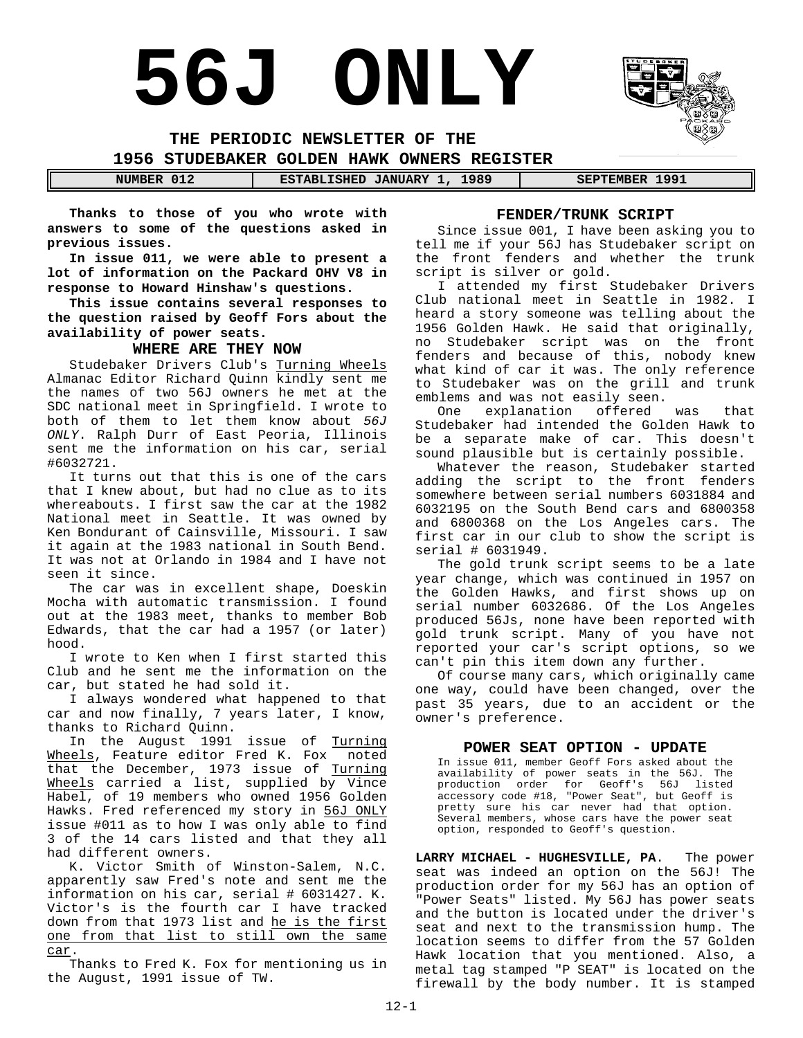# **56J ONLY**

**THE PERIODIC NEWSLETTER OF THE 1956 STUDEBAKER GOLDEN HAWK OWNERS REGISTER**

**NUMBER 012 ESTABLISHED JANUARY 1, 1989 SEPTEMBER 1991** 

**Thanks to those of you who wrote with answers to some of the questions asked in previous issues.**

**In issue 011, we were able to present a lot of information on the Packard OHV V8 in response to Howard Hinshaw's questions.**

**This issue contains several responses to the question raised by Geoff Fors about the availability of power seats.**

#### **WHERE ARE THEY NOW**

Studebaker Drivers Club's Turning Wheels Almanac Editor Richard Quinn kindly sent me the names of two 56J owners he met at the SDC national meet in Springfield. I wrote to both of them to let them know about *56J ONLY*. Ralph Durr of East Peoria, Illinois sent me the information on his car, serial #6032721.

It turns out that this is one of the cars that I knew about, but had no clue as to its whereabouts. I first saw the car at the 1982 National meet in Seattle. It was owned by Ken Bondurant of Cainsville, Missouri. I saw it again at the 1983 national in South Bend. It was not at Orlando in 1984 and I have not seen it since.

The car was in excellent shape, Doeskin Mocha with automatic transmission. I found out at the 1983 meet, thanks to member Bob Edwards, that the car had a 1957 (or later) hood.

I wrote to Ken when I first started this Club and he sent me the information on the car, but stated he had sold it.

I always wondered what happened to that car and now finally, 7 years later, I know, thanks to Richard Quinn.

In the August 1991 issue of Turning Wheels, Feature editor Fred K. Fox noted that the December, 1973 issue of Turning Wheels carried a list, supplied by Vince Habel, of 19 members who owned 1956 Golden Hawks. Fred referenced my story in 56J ONLY issue #011 as to how I was only able to find 3 of the 14 cars listed and that they all had different owners.

K. Victor Smith of Winston-Salem, N.C. apparently saw Fred's note and sent me the information on his car, serial # 6031427. K. Victor's is the fourth car I have tracked down from that 1973 list and he is the first one from that list to still own the same car.

Thanks to Fred K. Fox for mentioning us in the August, 1991 issue of TW.

#### **FENDER/TRUNK SCRIPT**

Since issue 001, I have been asking you to tell me if your 56J has Studebaker script on the front fenders and whether the trunk script is silver or gold.

I attended my first Studebaker Drivers Club national meet in Seattle in 1982. I heard a story someone was telling about the 1956 Golden Hawk. He said that originally, no Studebaker script was on the front fenders and because of this, nobody knew what kind of car it was. The only reference to Studebaker was on the grill and trunk emblems and was not easily seen.

One explanation offered was that Studebaker had intended the Golden Hawk to be a separate make of car. This doesn't sound plausible but is certainly possible.

Whatever the reason, Studebaker started adding the script to the front fenders somewhere between serial numbers 6031884 and 6032195 on the South Bend cars and 6800358 and 6800368 on the Los Angeles cars. The first car in our club to show the script is serial # 6031949.

The gold trunk script seems to be a late year change, which was continued in 1957 on the Golden Hawks, and first shows up on serial number 6032686. Of the Los Angeles produced 56Js, none have been reported with gold trunk script. Many of you have not reported your car's script options, so we can't pin this item down any further.

Of course many cars, which originally came one way, could have been changed, over the past 35 years, due to an accident or the owner's preference.

#### **POWER SEAT OPTION - UPDATE**

In issue 011, member Geoff Fors asked about the availability of power seats in the 56J. The production order for Geoff's 56J listed accessory code #18, "Power Seat", but Geoff is pretty sure his car never had that option. Several members, whose cars have the power seat option, responded to Geoff's question.

**LARRY MICHAEL - HUGHESVILLE, PA**. The power seat was indeed an option on the 56J! The production order for my 56J has an option of "Power Seats" listed. My 56J has power seats and the button is located under the driver's seat and next to the transmission hump. The location seems to differ from the 57 Golden Hawk location that you mentioned. Also, a metal tag stamped "P SEAT" is located on the firewall by the body number. It is stamped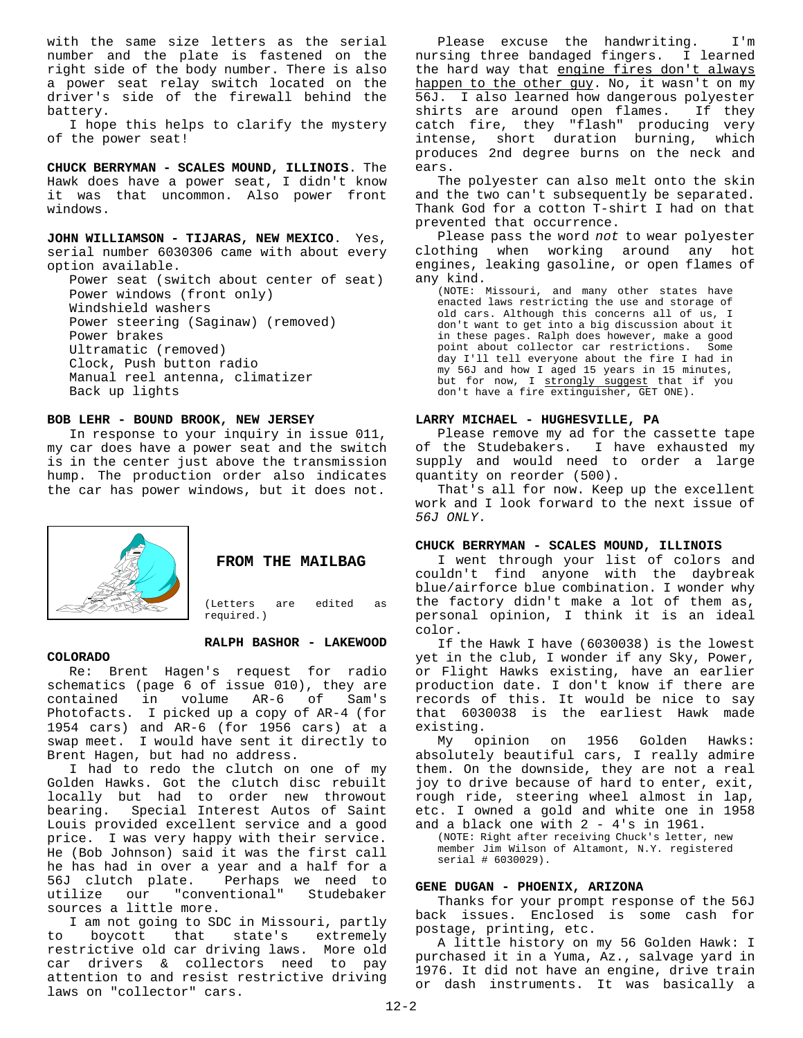with the same size letters as the serial number and the plate is fastened on the right side of the body number. There is also a power seat relay switch located on the driver's side of the firewall behind the battery.

I hope this helps to clarify the mystery of the power seat!

**CHUCK BERRYMAN - SCALES MOUND, ILLINOIS**. The Hawk does have a power seat, I didn't know it was that uncommon. Also power front windows.

**JOHN WILLIAMSON - TIJARAS, NEW MEXICO**. Yes, serial number 6030306 came with about every option available.

Power seat (switch about center of seat) Power windows (front only) Windshield washers Power steering (Saginaw) (removed) Power brakes Ultramatic (removed) Clock, Push button radio Manual reel antenna, climatizer Back up lights

#### **BOB LEHR - BOUND BROOK, NEW JERSEY**

In response to your inquiry in issue 011, my car does have a power seat and the switch is in the center just above the transmission hump. The production order also indicates the car has power windows, but it does not.



**FROM THE MAILBAG** 

(Letters are edited as required.)

#### **RALPH BASHOR - LAKEWOOD**

#### **COLORADO**

Re: Brent Hagen's request for radio schematics (page 6 of issue 010), they are contained in volume AR-6 of Sam's Photofacts. I picked up a copy of AR-4 (for 1954 cars) and AR-6 (for 1956 cars) at a swap meet. I would have sent it directly to Brent Hagen, but had no address.

I had to redo the clutch on one of my Golden Hawks. Got the clutch disc rebuilt locally but had to order new throwout bearing. Special Interest Autos of Saint Louis provided excellent service and a good price. I was very happy with their service. He (Bob Johnson) said it was the first call he has had in over a year and a half for a 56J clutch plate. Perhaps we need to utilize our "conventional" Studebaker sources a little more.

I am not going to SDC in Missouri, partly to boycott that state's extremely restrictive old car driving laws. More old car drivers & collectors need to pay attention to and resist restrictive driving laws on "collector" cars.

Please excuse the handwriting. I'm<br>rsing three bandaged fingers. I learned nursing three bandaged fingers. the hard way that engine fires don't always happen to the other guy. No, it wasn't on my 56J. I also learned how dangerous polyester shirts are around open flames. If they catch fire, they "flash" producing very intense, short duration burning, which produces 2nd degree burns on the neck and ears.

The polyester can also melt onto the skin and the two can't subsequently be separated. Thank God for a cotton T-shirt I had on that prevented that occurrence.

Please pass the word *not* to wear polyester clothing when working around any hot engines, leaking gasoline, or open flames of any kind.

(NOTE: Missouri, and many other states have enacted laws restricting the use and storage of old cars. Although this concerns all of us, I don't want to get into a big discussion about it in these pages. Ralph does however, make a good point about collector car restrictions. Some day I'll tell everyone about the fire I had in my 56J and how I aged 15 years in 15 minutes, but for now, I strongly suggest that if you don't have a fire extinguisher, GET ONE).

#### **LARRY MICHAEL - HUGHESVILLE, PA**

Please remove my ad for the cassette tape of the Studebakers. I have exhausted my supply and would need to order a large quantity on reorder (500).

That's all for now. Keep up the excellent work and I look forward to the next issue of *56J ONLY*.

#### **CHUCK BERRYMAN - SCALES MOUND, ILLINOIS**

I went through your list of colors and couldn't find anyone with the daybreak blue/airforce blue combination. I wonder why the factory didn't make a lot of them as, personal opinion, I think it is an ideal color.

If the Hawk I have (6030038) is the lowest yet in the club, I wonder if any Sky, Power, or Flight Hawks existing, have an earlier production date. I don't know if there are records of this. It would be nice to say that 6030038 is the earliest Hawk made existing.

My opinion on 1956 Golden Hawks: absolutely beautiful cars, I really admire them. On the downside, they are not a real joy to drive because of hard to enter, exit, rough ride, steering wheel almost in lap, etc. I owned a gold and white one in 1958 and a black one with 2 - 4's in 1961.

(NOTE: Right after receiving Chuck's letter, new member Jim Wilson of Altamont, N.Y. registered serial # 6030029).

#### **GENE DUGAN - PHOENIX, ARIZONA**

Thanks for your prompt response of the 56J back issues. Enclosed is some cash for postage, printing, etc.

A little history on my 56 Golden Hawk: I purchased it in a Yuma, Az., salvage yard in 1976. It did not have an engine, drive train or dash instruments. It was basically a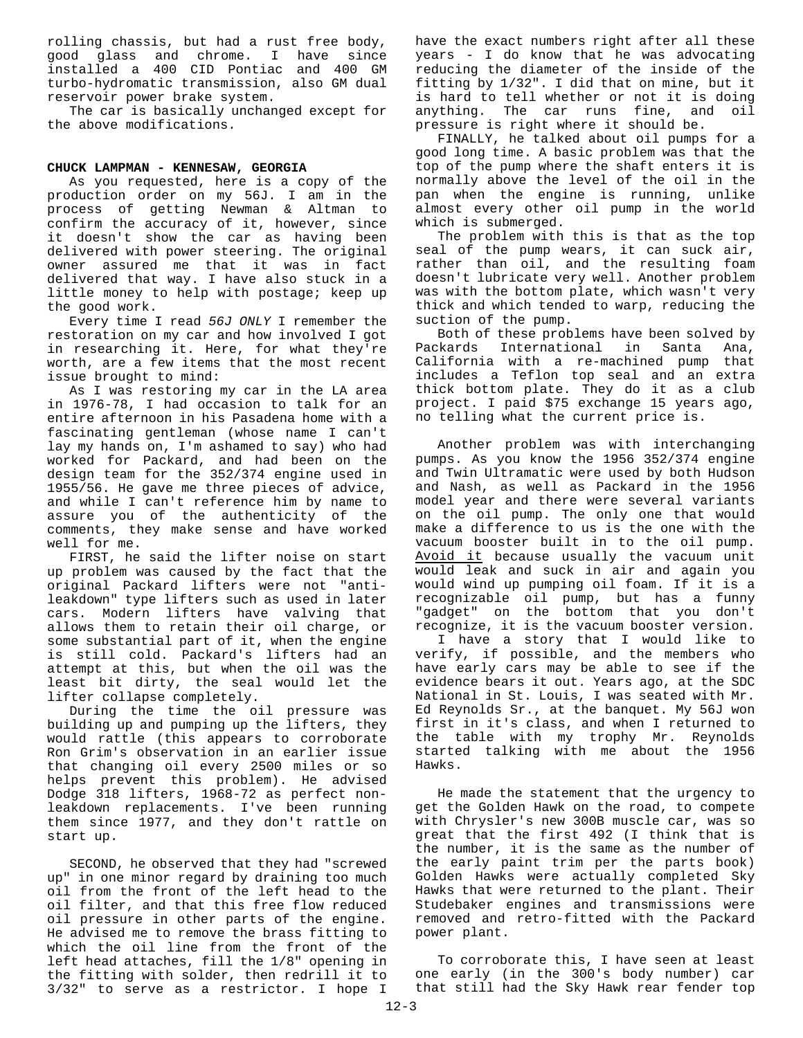rolling chassis, but had a rust free body, good glass and chrome. I have since installed a 400 CID Pontiac and 400 GM turbo-hydromatic transmission, also GM dual reservoir power brake system.

The car is basically unchanged except for the above modifications.

#### **CHUCK LAMPMAN - KENNESAW, GEORGIA**

As you requested, here is a copy of the production order on my 56J. I am in the process of getting Newman & Altman to confirm the accuracy of it, however, since it doesn't show the car as having been delivered with power steering. The original owner assured me that it was in fact delivered that way. I have also stuck in a little money to help with postage; keep up the good work.

Every time I read *56J ONLY* I remember the restoration on my car and how involved I got in researching it. Here, for what they're worth, are a few items that the most recent issue brought to mind:

As I was restoring my car in the LA area in 1976-78, I had occasion to talk for an entire afternoon in his Pasadena home with a fascinating gentleman (whose name I can't lay my hands on, I'm ashamed to say) who had worked for Packard, and had been on the design team for the 352/374 engine used in 1955/56. He gave me three pieces of advice, and while I can't reference him by name to assure you of the authenticity of the comments, they make sense and have worked well for me.

FIRST, he said the lifter noise on start up problem was caused by the fact that the original Packard lifters were not "antileakdown" type lifters such as used in later cars. Modern lifters have valving that allows them to retain their oil charge, or some substantial part of it, when the engine is still cold. Packard's lifters had an attempt at this, but when the oil was the least bit dirty, the seal would let the lifter collapse completely.

During the time the oil pressure was building up and pumping up the lifters, they would rattle (this appears to corroborate Ron Grim's observation in an earlier issue that changing oil every 2500 miles or so helps prevent this problem). He advised Dodge 318 lifters, 1968-72 as perfect nonleakdown replacements. I've been running them since 1977, and they don't rattle on start up.

SECOND, he observed that they had "screwed up" in one minor regard by draining too much oil from the front of the left head to the oil filter, and that this free flow reduced oil pressure in other parts of the engine. He advised me to remove the brass fitting to which the oil line from the front of the left head attaches, fill the 1/8" opening in the fitting with solder, then redrill it to 3/32" to serve as a restrictor. I hope I

have the exact numbers right after all these years - I do know that he was advocating reducing the diameter of the inside of the fitting by 1/32". I did that on mine, but it is hard to tell whether or not it is doing anything. The car runs fine, and oil pressure is right where it should be.

FINALLY, he talked about oil pumps for a good long time. A basic problem was that the top of the pump where the shaft enters it is normally above the level of the oil in the pan when the engine is running, unlike almost every other oil pump in the world which is submerged.

The problem with this is that as the top seal of the pump wears, it can suck air, rather than oil, and the resulting foam doesn't lubricate very well. Another problem was with the bottom plate, which wasn't very thick and which tended to warp, reducing the suction of the pump.

Both of these problems have been solved by Packards International in Santa Ana, California with a re-machined pump that includes a Teflon top seal and an extra thick bottom plate. They do it as a club project. I paid \$75 exchange 15 years ago, no telling what the current price is.

Another problem was with interchanging pumps. As you know the 1956 352/374 engine and Twin Ultramatic were used by both Hudson and Nash, as well as Packard in the 1956 model year and there were several variants on the oil pump. The only one that would make a difference to us is the one with the vacuum booster built in to the oil pump. Avoid it because usually the vacuum unit would leak and suck in air and again you would wind up pumping oil foam. If it is a recognizable oil pump, but has a funny "gadget" on the bottom that you don't recognize, it is the vacuum booster version.

I have a story that I would like to verify, if possible, and the members who have early cars may be able to see if the evidence bears it out. Years ago, at the SDC National in St. Louis, I was seated with Mr. Ed Reynolds Sr., at the banquet. My 56J won first in it's class, and when I returned to the table with my trophy Mr. Reynolds started talking with me about the 1956 Hawks.

He made the statement that the urgency to get the Golden Hawk on the road, to compete with Chrysler's new 300B muscle car, was so great that the first 492 (I think that is the number, it is the same as the number of the early paint trim per the parts book) Golden Hawks were actually completed Sky Hawks that were returned to the plant. Their Studebaker engines and transmissions were removed and retro-fitted with the Packard power plant.

To corroborate this, I have seen at least one early (in the 300's body number) car that still had the Sky Hawk rear fender top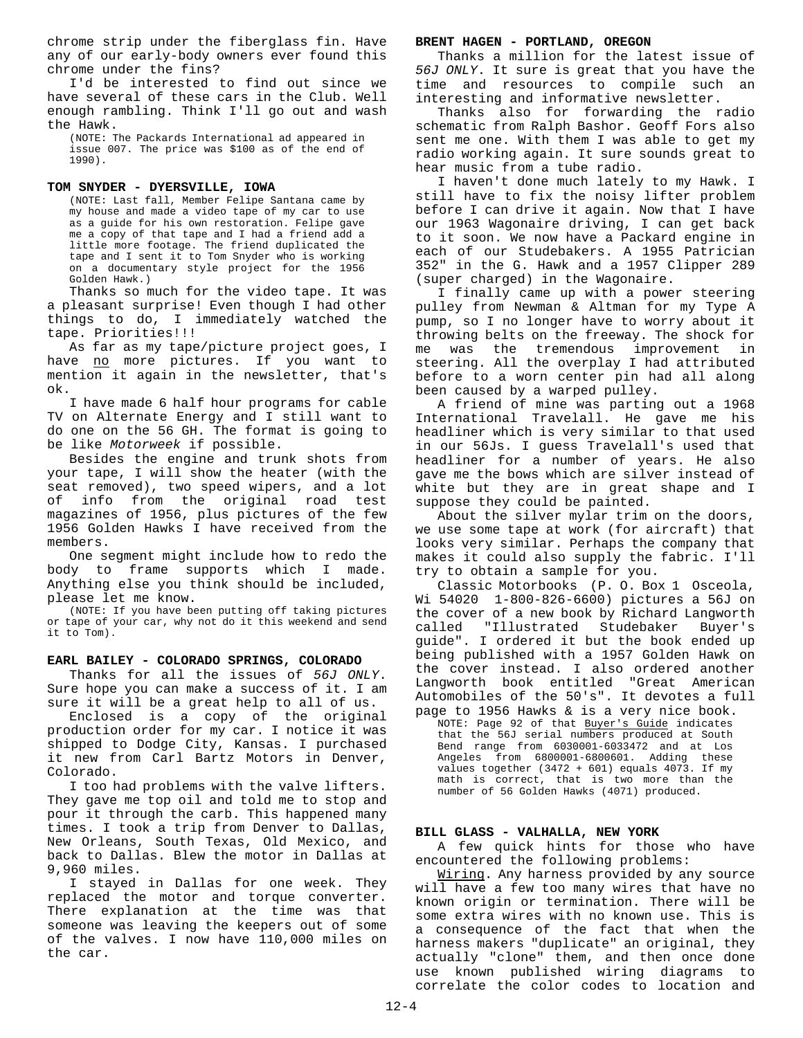chrome strip under the fiberglass fin. Have any of our early-body owners ever found this chrome under the fins?

I'd be interested to find out since we have several of these cars in the Club. Well enough rambling. Think I'll go out and wash the Hawk.

(NOTE: The Packards International ad appeared in issue 007. The price was \$100 as of the end of 1990).

## **TOM SNYDER - DYERSVILLE, IOWA**

(NOTE: Last fall, Member Felipe Santana came by my house and made a video tape of my car to use as a guide for his own restoration. Felipe gave me a copy of that tape and I had a friend add a little more footage. The friend duplicated the tape and I sent it to Tom Snyder who is working on a documentary style project for the 1956 Golden Hawk.)

Thanks so much for the video tape. It was a pleasant surprise! Even though I had other things to do, I immediately watched the tape. Priorities!!!

As far as my tape/picture project goes, I have no more pictures. If you want to mention it again in the newsletter, that's ok.

I have made 6 half hour programs for cable TV on Alternate Energy and I still want to do one on the 56 GH. The format is going to be like *Motorweek* if possible.

Besides the engine and trunk shots from your tape, I will show the heater (with the seat removed), two speed wipers, and a lot of info from the original road test magazines of 1956, plus pictures of the few 1956 Golden Hawks I have received from the members.

One segment might include how to redo the body to frame supports which I made. Anything else you think should be included, please let me know.

(NOTE: If you have been putting off taking pictures or tape of your car, why not do it this weekend and send it to Tom).

#### **EARL BAILEY - COLORADO SPRINGS, COLORADO**

Thanks for all the issues of *56J ONLY*. Sure hope you can make a success of it. I am sure it will be a great help to all of us.

Enclosed is a copy of the original production order for my car. I notice it was shipped to Dodge City, Kansas. I purchased it new from Carl Bartz Motors in Denver, Colorado.

I too had problems with the valve lifters. They gave me top oil and told me to stop and pour it through the carb. This happened many times. I took a trip from Denver to Dallas, New Orleans, South Texas, Old Mexico, and back to Dallas. Blew the motor in Dallas at 9,960 miles.

I stayed in Dallas for one week. They replaced the motor and torque converter. There explanation at the time was that someone was leaving the keepers out of some of the valves. I now have 110,000 miles on the car.

#### **BRENT HAGEN - PORTLAND, OREGON**

Thanks a million for the latest issue of *56J ONLY*. It sure is great that you have the time and resources to compile such an interesting and informative newsletter.

Thanks also for forwarding the radio schematic from Ralph Bashor. Geoff Fors also sent me one. With them I was able to get my radio working again. It sure sounds great to hear music from a tube radio.

I haven't done much lately to my Hawk. I still have to fix the noisy lifter problem before I can drive it again. Now that I have our 1963 Wagonaire driving, I can get back to it soon. We now have a Packard engine in each of our Studebakers. A 1955 Patrician 352" in the G. Hawk and a 1957 Clipper 289 (super charged) in the Wagonaire.

I finally came up with a power steering pulley from Newman & Altman for my Type A pump, so I no longer have to worry about it throwing belts on the freeway. The shock for me was the tremendous improvement in steering. All the overplay I had attributed before to a worn center pin had all along been caused by a warped pulley.

A friend of mine was parting out a 1968 International Travelall. He gave me his headliner which is very similar to that used in our 56Js. I guess Travelall's used that headliner for a number of years. He also gave me the bows which are silver instead of white but they are in great shape and I suppose they could be painted.

About the silver mylar trim on the doors, we use some tape at work (for aircraft) that looks very similar. Perhaps the company that makes it could also supply the fabric. I'll try to obtain a sample for you.

Classic Motorbooks (P. O. Box 1 Osceola, Wi 54020 1-800-826-6600) pictures a 56J on the cover of a new book by Richard Langworth called "Illustrated Studebaker Buyer's guide". I ordered it but the book ended up being published with a 1957 Golden Hawk on the cover instead. I also ordered another Langworth book entitled "Great American Automobiles of the 50's". It devotes a full page to 1956 Hawks & is a very nice book.

NOTE: Page 92 of that Buyer's Guide indicates that the 56J serial numbers produced at South Bend range from 6030001-6033472 and at Los Angeles from 6800001-6800601. Adding these values together (3472 + 601) equals 4073. If my math is correct, that is two more than the number of 56 Golden Hawks (4071) produced.

#### **BILL GLASS - VALHALLA, NEW YORK**

A few quick hints for those who have encountered the following problems:

Wiring. Any harness provided by any source will have a few too many wires that have no known origin or termination. There will be some extra wires with no known use. This is a consequence of the fact that when the harness makers "duplicate" an original, they actually "clone" them, and then once done use known published wiring diagrams to correlate the color codes to location and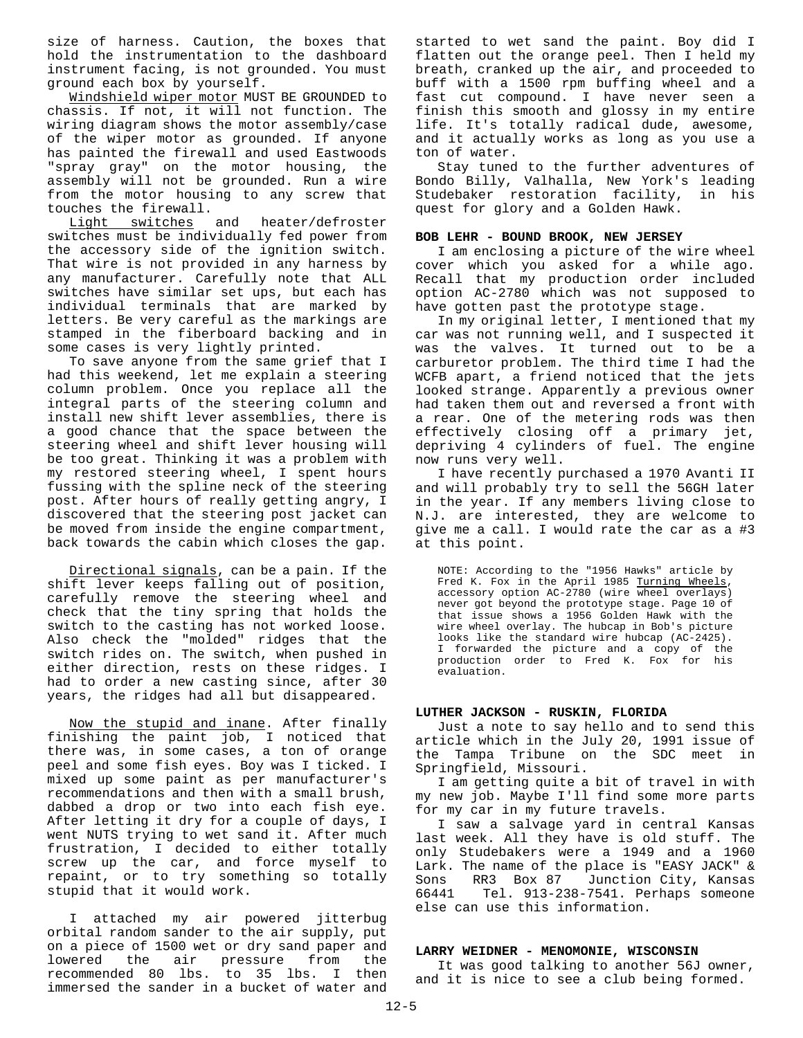size of harness. Caution, the boxes that hold the instrumentation to the dashboard instrument facing, is not grounded. You must ground each box by yourself.

Windshield wiper motor MUST BE GROUNDED to chassis. If not, it will not function. The wiring diagram shows the motor assembly/case of the wiper motor as grounded. If anyone has painted the firewall and used Eastwoods "spray gray" on the motor housing, the assembly will not be grounded. Run a wire from the motor housing to any screw that touches the firewall.

Light switches and heater/defroster switches must be individually fed power from the accessory side of the ignition switch. That wire is not provided in any harness by any manufacturer. Carefully note that ALL switches have similar set ups, but each has individual terminals that are marked by letters. Be very careful as the markings are stamped in the fiberboard backing and in some cases is very lightly printed.

To save anyone from the same grief that I had this weekend, let me explain a steering column problem. Once you replace all the integral parts of the steering column and install new shift lever assemblies, there is a good chance that the space between the steering wheel and shift lever housing will be too great. Thinking it was a problem with my restored steering wheel, I spent hours fussing with the spline neck of the steering post. After hours of really getting angry, I discovered that the steering post jacket can be moved from inside the engine compartment, back towards the cabin which closes the gap.

Directional signals, can be a pain. If the shift lever keeps falling out of position, carefully remove the steering wheel and check that the tiny spring that holds the switch to the casting has not worked loose. Also check the "molded" ridges that the switch rides on. The switch, when pushed in either direction, rests on these ridges. I had to order a new casting since, after 30 years, the ridges had all but disappeared.

Now the stupid and inane. After finally finishing the paint job, I noticed that there was, in some cases, a ton of orange peel and some fish eyes. Boy was I ticked. I mixed up some paint as per manufacturer's recommendations and then with a small brush, dabbed a drop or two into each fish eye. After letting it dry for a couple of days, I went NUTS trying to wet sand it. After much frustration, I decided to either totally screw up the car, and force myself to repaint, or to try something so totally stupid that it would work.

I attached my air powered jitterbug orbital random sander to the air supply, put on a piece of 1500 wet or dry sand paper and lowered the air pressure from the recommended 80 lbs. to 35 lbs. I then immersed the sander in a bucket of water and started to wet sand the paint. Boy did I flatten out the orange peel. Then I held my breath, cranked up the air, and proceeded to buff with a 1500 rpm buffing wheel and a fast cut compound. I have never seen a finish this smooth and glossy in my entire life. It's totally radical dude, awesome, and it actually works as long as you use a ton of water.

Stay tuned to the further adventures of Bondo Billy, Valhalla, New York's leading Studebaker restoration facility, in his quest for glory and a Golden Hawk.

#### **BOB LEHR - BOUND BROOK, NEW JERSEY**

I am enclosing a picture of the wire wheel cover which you asked for a while ago. Recall that my production order included option AC-2780 which was not supposed to have gotten past the prototype stage.

In my original letter, I mentioned that my car was not running well, and I suspected it was the valves. It turned out to be a carburetor problem. The third time I had the WCFB apart, a friend noticed that the jets looked strange. Apparently a previous owner had taken them out and reversed a front with a rear. One of the metering rods was then effectively closing off a primary jet, depriving 4 cylinders of fuel. The engine now runs very well.

I have recently purchased a 1970 Avanti II and will probably try to sell the 56GH later in the year. If any members living close to N.J. are interested, they are welcome to give me a call. I would rate the car as a #3 at this point.

NOTE: According to the "1956 Hawks" article by Fred K. Fox in the April 1985 Turning Wheels, accessory option AC-2780 (wire wheel overlays) never got beyond the prototype stage. Page 10 of that issue shows a 1956 Golden Hawk with the wire wheel overlay. The hubcap in Bob's picture looks like the standard wire hubcap (AC-2425). I forwarded the picture and a copy of the production order to Fred K. Fox for his evaluation.

#### **LUTHER JACKSON - RUSKIN, FLORIDA**

Just a note to say hello and to send this article which in the July 20, 1991 issue of the Tampa Tribune on the SDC meet in Springfield, Missouri.

I am getting quite a bit of travel in with my new job. Maybe I'll find some more parts for my car in my future travels.

I saw a salvage yard in central Kansas last week. All they have is old stuff. The only Studebakers were a 1949 and a 1960 Lark. The name of the place is "EASY JACK" &<br>Sons RR3 Box 87 Junction City, Kansas Sons RR3 Box 87 Junction City, Kansas<br>66441 Tel. 913-238-7541. Perhaps someone Tel. 913-238-7541. Perhaps someone else can use this information.

#### **LARRY WEIDNER - MENOMONIE, WISCONSIN**

It was good talking to another 56J owner, and it is nice to see a club being formed.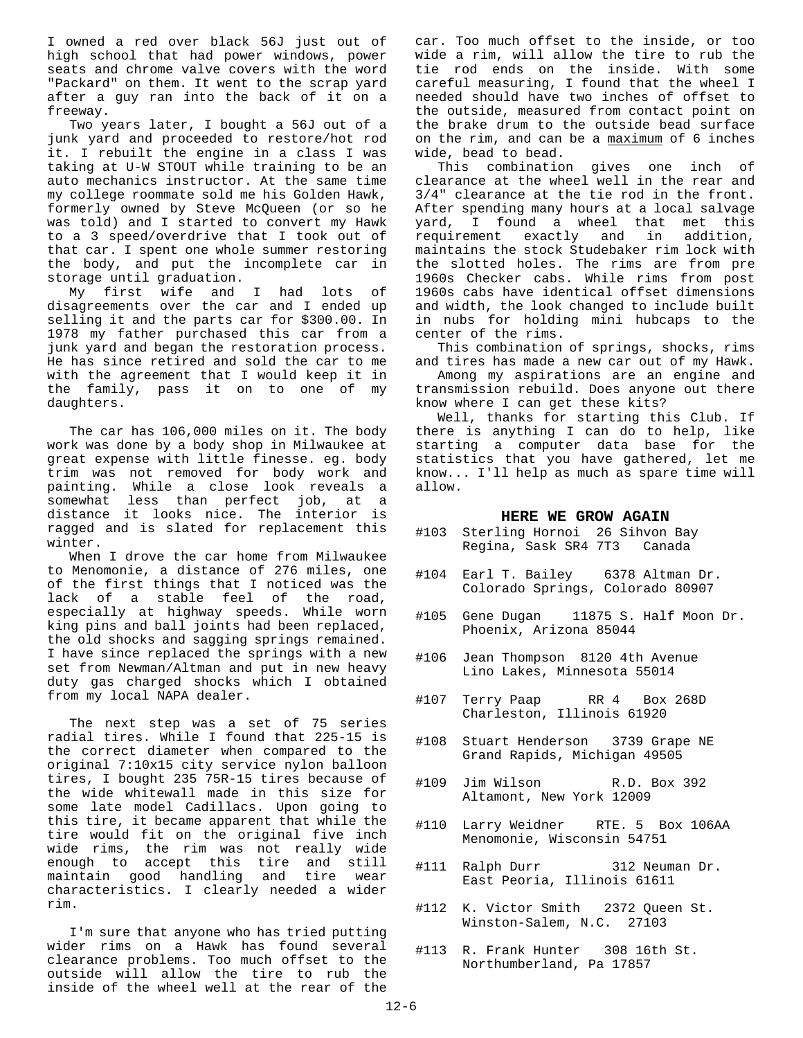I owned a red over black 56J just out of high school that had power windows, power seats and chrome valve covers with the word "Packard" on them. It went to the scrap yard after a guy ran into the back of it on a freeway.

Two years later, I bought a 56J out of a junk yard and proceeded to restore/hot rod it. I rebuilt the engine in a class I was taking at U-W STOUT while training to be an auto mechanics instructor. At the same time my college roommate sold me his Golden Hawk, formerly owned by Steve McQueen (or so he was told) and I started to convert my Hawk to a 3 speed/overdrive that I took out of that car. I spent one whole summer restoring the body, and put the incomplete car in storage until graduation.

My first wife and I had lots of disagreements over the car and I ended up selling it and the parts car for \$300.00. In 1978 my father purchased this car from a junk yard and began the restoration process. He has since retired and sold the car to me with the agreement that I would keep it in the family, pass it on to one of my daughters.

The car has 106,000 miles on it. The body work was done by a body shop in Milwaukee at great expense with little finesse. eg. body trim was not removed for body work and painting. While a close look reveals a somewhat less than perfect job, at a distance it looks nice. The interior is ragged and is slated for replacement this winter.

When I drove the car home from Milwaukee to Menomonie, a distance of 276 miles, one of the first things that I noticed was the lack of a stable feel of the road, especially at highway speeds. While worn king pins and ball joints had been replaced, the old shocks and sagging springs remained. I have since replaced the springs with a new set from Newman/Altman and put in new heavy duty gas charged shocks which I obtained from my local NAPA dealer.

The next step was a set of 75 series radial tires. While I found that 225-15 is the correct diameter when compared to the original 7:10x15 city service nylon balloon tires, I bought 235 75R-15 tires because of the wide whitewall made in this size for some late model Cadillacs. Upon going to this tire, it became apparent that while the tire would fit on the original five inch wide rims, the rim was not really wide enough to accept this tire and still maintain good handling and tire wear characteristics. I clearly needed a wider rim.

I'm sure that anyone who has tried putting wider rims on a Hawk has found several clearance problems. Too much offset to the outside will allow the tire to rub the inside of the wheel well at the rear of the car. Too much offset to the inside, or too wide a rim, will allow the tire to rub the tie rod ends on the inside. With some careful measuring, I found that the wheel I needed should have two inches of offset to the outside, measured from contact point on the brake drum to the outside bead surface on the rim, and can be a maximum of 6 inches wide, bead to bead.

This combination gives one inch of clearance at the wheel well in the rear and 3/4" clearance at the tie rod in the front. After spending many hours at a local salvage yard, I found a wheel that met this requirement exactly and in addition, maintains the stock Studebaker rim lock with the slotted holes. The rims are from pre 1960s Checker cabs. While rims from post 1960s cabs have identical offset dimensions and width, the look changed to include built in nubs for holding mini hubcaps to the center of the rims.

This combination of springs, shocks, rims and tires has made a new car out of my Hawk.

Among my aspirations are an engine and transmission rebuild. Does anyone out there know where I can get these kits?

Well, thanks for starting this Club. If there is anything I can do to help, like starting a computer data base for the statistics that you have gathered, let me know... I'll help as much as spare time will allow.

#### **HERE WE GROW AGAIN**

- #103 Sterling Hornoi 26 Sihvon Bay Regina, Sask SR4 7T3 Canada
- #104 Earl T. Bailey 6378 Altman Dr. Colorado Springs, Colorado 80907
- #105 Gene Dugan 11875 S. Half Moon Dr. Phoenix, Arizona 85044
- #106 Jean Thompson 8120 4th Avenue Lino Lakes, Minnesota 55014
- #107 Terry Paap RR 4 Box 268D Charleston, Illinois 61920
- #108 Stuart Henderson 3739 Grape NE Grand Rapids, Michigan 49505
- #109 Jim Wilson R.D. Box 392 Altamont, New York 12009
- #110 Larry Weidner RTE. 5 Box 106AA Menomonie, Wisconsin 54751
- #111 Ralph Durr 312 Neuman Dr. East Peoria, Illinois 61611
- #112 K. Victor Smith 2372 Queen St. Winston-Salem, N.C. 27103
- #113 R. Frank Hunter 308 16th St. Northumberland, Pa 17857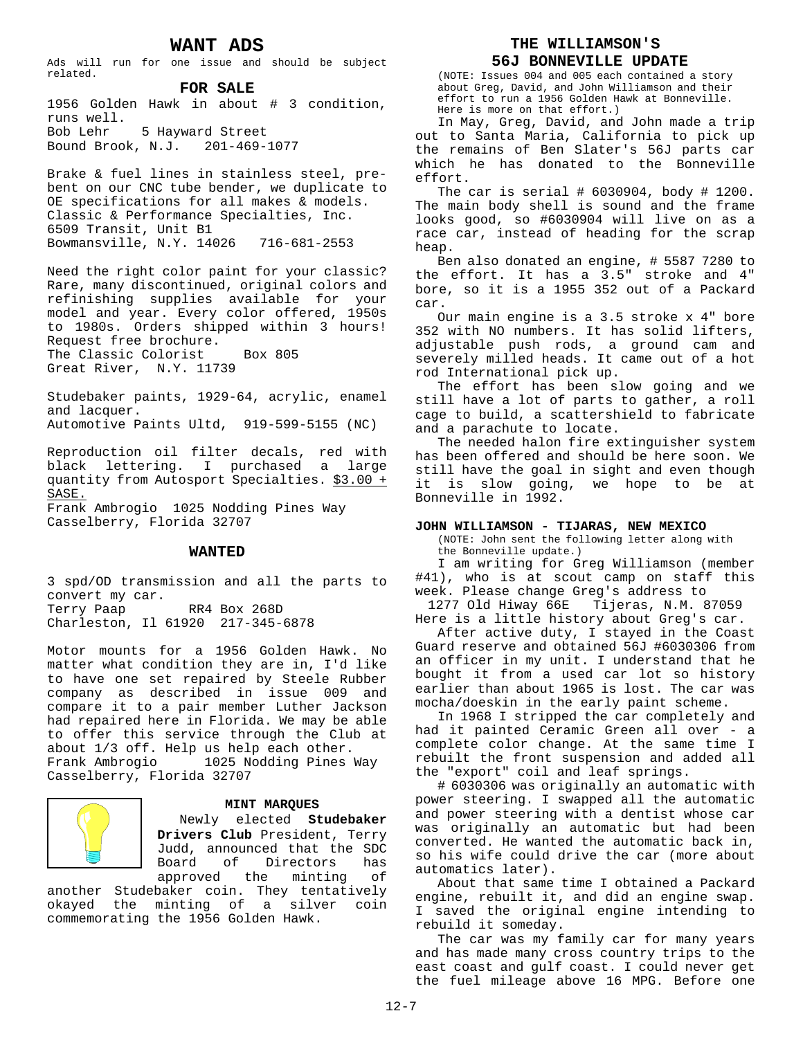### **WANT ADS**

Ads will run for one issue and should be subject related.

#### **FOR SALE**

1956 Golden Hawk in about # 3 condition, runs well. Bob Lehr 5 Hayward Street Bound Brook, N.J. 201-469-1077

Brake & fuel lines in stainless steel, prebent on our CNC tube bender, we duplicate to OE specifications for all makes & models. Classic & Performance Specialties, Inc. 6509 Transit, Unit B1 Bowmansville, N.Y. 14026 716-681-2553

Need the right color paint for your classic? Rare, many discontinued, original colors and refinishing supplies available for your model and year. Every color offered, 1950s to 1980s. Orders shipped within 3 hours! Request free brochure. The Classic Colorist Box 805 Great River, N.Y. 11739

Studebaker paints, 1929-64, acrylic, enamel and lacquer. Automotive Paints Ultd, 919-599-5155 (NC)

Reproduction oil filter decals, red with black lettering. I purchased a large quantity from Autosport Specialties. \$3.00 + SASE. Frank Ambrogio 1025 Nodding Pines Way

Casselberry, Florida 32707

#### **WANTED**

3 spd/OD transmission and all the parts to convert my car. Terry Paap RR4 Box 268D Charleston, Il 61920 217-345-6878

Motor mounts for a 1956 Golden Hawk. No matter what condition they are in, I'd like to have one set repaired by Steele Rubber company as described in issue 009 and compare it to a pair member Luther Jackson had repaired here in Florida. We may be able to offer this service through the Club at about 1/3 off. Help us help each other. Frank Ambrogio 1025 Nodding Pines Way Casselberry, Florida 32707



#### **MINT MARQUES**

Newly elected **Studebaker Drivers Club** President, Terry Judd, announced that the SDC Board of Directors has approved the minting of

another Studebaker coin. They tentatively okayed the minting of a silver coin commemorating the 1956 Golden Hawk.

#### **THE WILLIAMSON'S**

#### **56J BONNEVILLE UPDATE**

(NOTE: Issues 004 and 005 each contained a story about Greg, David, and John Williamson and their effort to run a 1956 Golden Hawk at Bonneville. Here is more on that effort.)

In May, Greg, David, and John made a trip out to Santa Maria, California to pick up the remains of Ben Slater's 56J parts car which he has donated to the Bonneville effort.

The car is serial # 6030904, body # 1200. The main body shell is sound and the frame looks good, so #6030904 will live on as a race car, instead of heading for the scrap heap.

Ben also donated an engine, # 5587 7280 to the effort. It has a 3.5" stroke and 4" bore, so it is a 1955 352 out of a Packard car.

Our main engine is a 3.5 stroke x 4" bore 352 with NO numbers. It has solid lifters, adjustable push rods, a ground cam and severely milled heads. It came out of a hot rod International pick up.

The effort has been slow going and we still have a lot of parts to gather, a roll cage to build, a scattershield to fabricate and a parachute to locate.

The needed halon fire extinguisher system has been offered and should be here soon. We still have the goal in sight and even though it is slow going, we hope to be at Bonneville in 1992.

#### **JOHN WILLIAMSON - TIJARAS, NEW MEXICO**

(NOTE: John sent the following letter along with the Bonneville update.)

I am writing for Greg Williamson (member #41), who is at scout camp on staff this week. Please change Greg's address to

1277 Old Hiway 66E Tijeras, N.M. 87059 Here is a little history about Greg's car.

After active duty, I stayed in the Coast Guard reserve and obtained 56J #6030306 from an officer in my unit. I understand that he bought it from a used car lot so history earlier than about 1965 is lost. The car was mocha/doeskin in the early paint scheme.

In 1968 I stripped the car completely and had it painted Ceramic Green all over - a complete color change. At the same time I rebuilt the front suspension and added all the "export" coil and leaf springs.

# 6030306 was originally an automatic with power steering. I swapped all the automatic and power steering with a dentist whose car was originally an automatic but had been converted. He wanted the automatic back in, so his wife could drive the car (more about automatics later).

About that same time I obtained a Packard engine, rebuilt it, and did an engine swap. I saved the original engine intending to rebuild it someday.

The car was my family car for many years and has made many cross country trips to the east coast and gulf coast. I could never get the fuel mileage above 16 MPG. Before one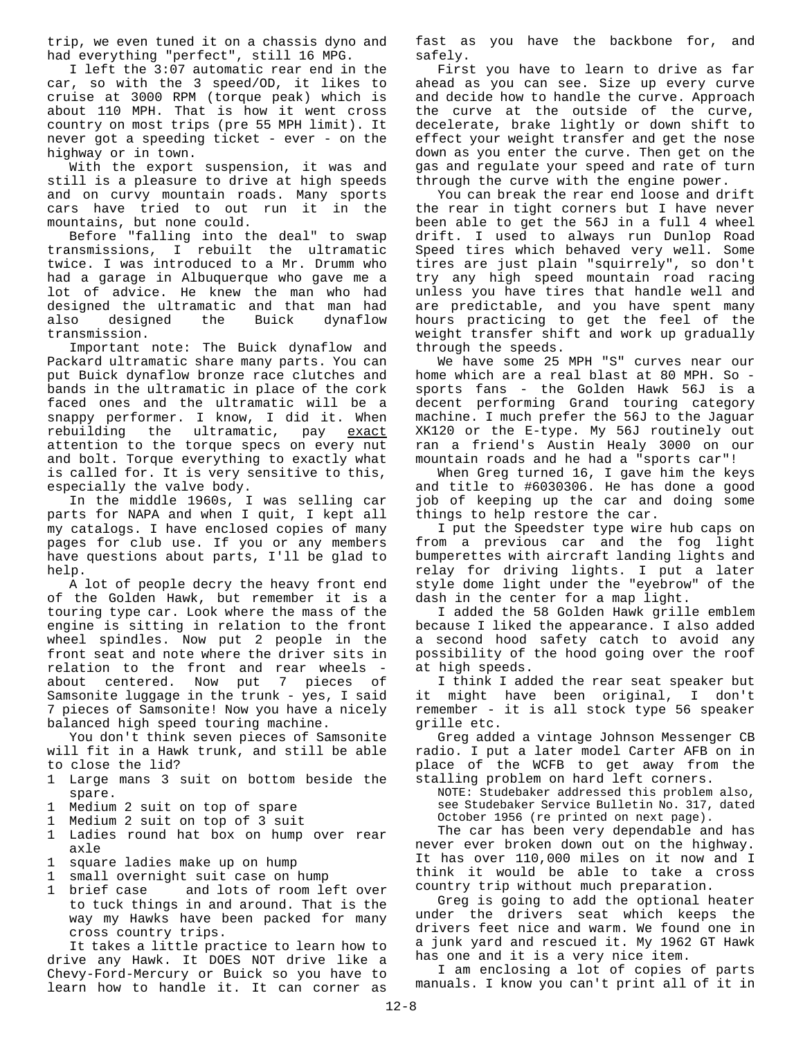trip, we even tuned it on a chassis dyno and had everything "perfect", still 16 MPG.

I left the 3:07 automatic rear end in the car, so with the 3 speed/OD, it likes to cruise at 3000 RPM (torque peak) which is about 110 MPH. That is how it went cross country on most trips (pre 55 MPH limit). It never got a speeding ticket - ever - on the highway or in town.

With the export suspension, it was and still is a pleasure to drive at high speeds and on curvy mountain roads. Many sports cars have tried to out run it in the mountains, but none could.

Before "falling into the deal" to swap transmissions, I rebuilt the ultramatic twice. I was introduced to a Mr. Drumm who had a garage in Albuquerque who gave me a lot of advice. He knew the man who had designed the ultramatic and that man had also designed the Buick dynaflow transmission.

Important note: The Buick dynaflow and Packard ultramatic share many parts. You can put Buick dynaflow bronze race clutches and bands in the ultramatic in place of the cork faced ones and the ultramatic will be a snappy performer. I know, I did it. When rebuilding the ultramatic, pay exact attention to the torque specs on every nut and bolt. Torque everything to exactly what is called for. It is very sensitive to this, especially the valve body.

In the middle 1960s, I was selling car parts for NAPA and when I quit, I kept all my catalogs. I have enclosed copies of many pages for club use. If you or any members have questions about parts, I'll be glad to help.

A lot of people decry the heavy front end of the Golden Hawk, but remember it is a touring type car. Look where the mass of the engine is sitting in relation to the front wheel spindles. Now put 2 people in the front seat and note where the driver sits in relation to the front and rear wheels about centered. Now put 7 pieces of Samsonite luggage in the trunk - yes, I said 7 pieces of Samsonite! Now you have a nicely balanced high speed touring machine.

You don't think seven pieces of Samsonite will fit in a Hawk trunk, and still be able to close the lid?

- 1 Large mans 3 suit on bottom beside the spare.
- 1 Medium 2 suit on top of spare
- 1 Medium 2 suit on top of 3 suit
- 1 Ladies round hat box on hump over rear axle
- 1 square ladies make up on hump
- 
- 1 small overnight suit case on hump<br>1 brief case and lots of room le and lots of room left over to tuck things in and around. That is the way my Hawks have been packed for many cross country trips.

It takes a little practice to learn how to drive any Hawk. It DOES NOT drive like a Chevy-Ford-Mercury or Buick so you have to learn how to handle it. It can corner as

fast as you have the backbone for, and safely.

First you have to learn to drive as far ahead as you can see. Size up every curve and decide how to handle the curve. Approach the curve at the outside of the curve, decelerate, brake lightly or down shift to effect your weight transfer and get the nose down as you enter the curve. Then get on the gas and regulate your speed and rate of turn through the curve with the engine power.

You can break the rear end loose and drift the rear in tight corners but I have never been able to get the 56J in a full 4 wheel drift. I used to always run Dunlop Road Speed tires which behaved very well. Some tires are just plain "squirrely", so don't try any high speed mountain road racing unless you have tires that handle well and are predictable, and you have spent many hours practicing to get the feel of the weight transfer shift and work up gradually through the speeds.

We have some 25 MPH "S" curves near our home which are a real blast at 80 MPH. So sports fans - the Golden Hawk 56J is a decent performing Grand touring category machine. I much prefer the 56J to the Jaguar XK120 or the E-type. My 56J routinely out ran a friend's Austin Healy 3000 on our mountain roads and he had a "sports car"!

When Greg turned 16, I gave him the keys and title to #6030306. He has done a good job of keeping up the car and doing some things to help restore the car.

I put the Speedster type wire hub caps on from a previous car and the fog light bumperettes with aircraft landing lights and relay for driving lights. I put a later style dome light under the "eyebrow" of the dash in the center for a map light.

I added the 58 Golden Hawk grille emblem because I liked the appearance. I also added a second hood safety catch to avoid any possibility of the hood going over the roof at high speeds.

I think I added the rear seat speaker but it might have been original, I don't remember - it is all stock type 56 speaker grille etc.

Greg added a vintage Johnson Messenger CB radio. I put a later model Carter AFB on in place of the WCFB to get away from the stalling problem on hard left corners.

NOTE: Studebaker addressed this problem also, see Studebaker Service Bulletin No. 317, dated October 1956 (re printed on next page).

The car has been very dependable and has never ever broken down out on the highway. It has over 110,000 miles on it now and I think it would be able to take a cross country trip without much preparation.

Greg is going to add the optional heater under the drivers seat which keeps the drivers feet nice and warm. We found one in a junk yard and rescued it. My 1962 GT Hawk has one and it is a very nice item.

I am enclosing a lot of copies of parts manuals. I know you can't print all of it in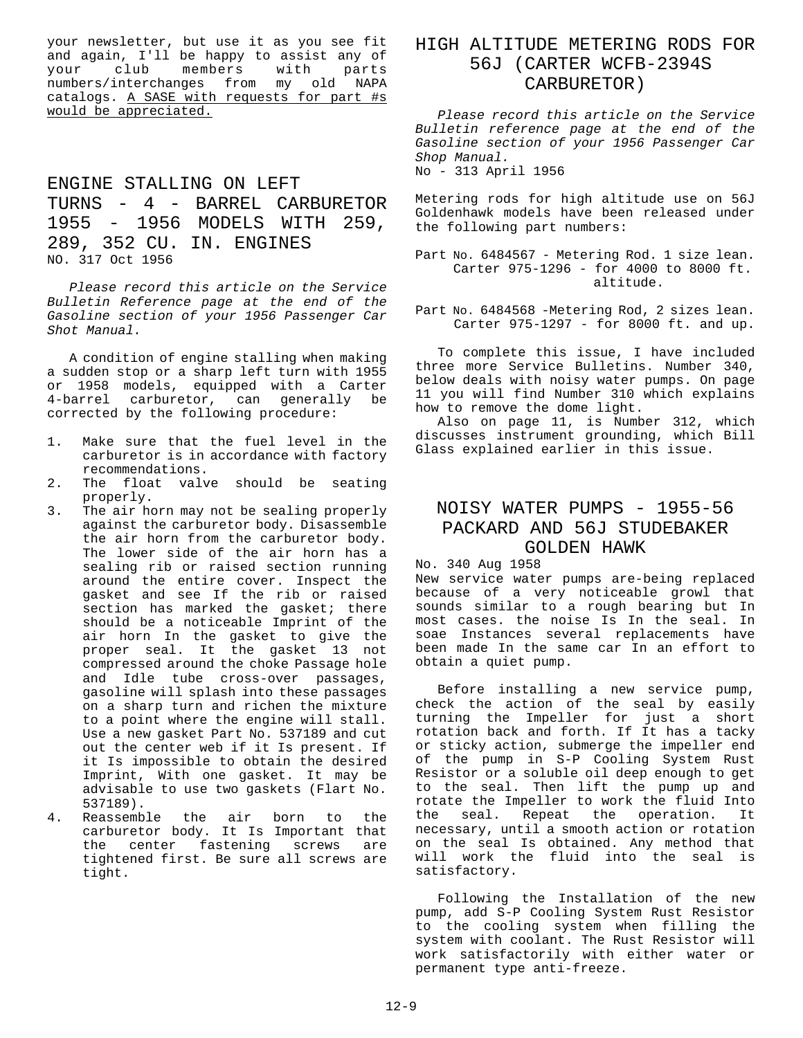your newsletter, but use it as you see fit and again, I'll be happy to assist any of your club members with parts numbers/interchanges from my old NAPA catalogs. A SASE with requests for part #s would be appreciated.

# ENGINE STALLING ON LEFT TURNS - 4 - BARREL CARBURETOR 1955 - 1956 MODELS WITH 259, 289, 352 CU. IN. ENGINES NO. 317 Oct 1956

*Please record this article on the Service Bulletin Reference page at the end of the Gasoline section of your 1956 Passenger Car Shot Manual.*

A condition of engine stalling when making a sudden stop or a sharp left turn with 1955 or 1958 models, equipped with a Carter 4-barrel carburetor, can generally be corrected by the following procedure:

- 1. Make sure that the fuel level in the carburetor is in accordance with factory recommendations.
- 2. The float valve should be seating properly.
- 3. The air horn may not be sealing properly against the carburetor body. Disassemble the air horn from the carburetor body. The lower side of the air horn has a sealing rib or raised section running around the entire cover. Inspect the gasket and see If the rib or raised section has marked the gasket; there should be a noticeable Imprint of the air horn In the gasket to give the proper seal. It the gasket 13 not compressed around the choke Passage hole and Idle tube cross-over passages, gasoline will splash into these passages on a sharp turn and richen the mixture to a point where the engine will stall. Use a new gasket Part No. 537189 and cut out the center web if it Is present. If it Is impossible to obtain the desired Imprint, With one gasket. It may be advisable to use two gaskets (Flart No. 537189).
- 4. Reassemble the air born to the carburetor body. It Is Important that the center fastening screws are tightened first. Be sure all screws are tight.

# HIGH ALTITUDE METERING RODS FOR 56J (CARTER WCFB-2394S CARBURETOR)

*Please record this article on the Service Bulletin reference page at the end of the Gasoline section of your 1956 Passenger Car Shop Manual.*

No - 313 April 1956

Metering rods for high altitude use on 56J Goldenhawk models have been released under the following part numbers:

Part No. 6484567 - Metering Rod. 1 size lean. Carter 975-1296 - for 4000 to 8000 ft. altitude.

Part No. 6484568 -Metering Rod, 2 sizes lean. Carter 975-1297 - for 8000 ft. and up.

To complete this issue, I have included three more Service Bulletins. Number 340, below deals with noisy water pumps. On page 11 you will find Number 310 which explains how to remove the dome light.

Also on page 11, is Number 312, which discusses instrument grounding, which Bill Glass explained earlier in this issue.

## NOISY WATER PUMPS - 1955-56 PACKARD AND 56J STUDEBAKER GOLDEN HAWK

No. 340 Aug 1958

New service water pumps are-being replaced because of a very noticeable growl that sounds similar to a rough bearing but In most cases. the noise Is In the seal. In soae Instances several replacements have been made In the same car In an effort to obtain a quiet pump.

Before installing a new service pump, check the action of the seal by easily turning the Impeller for just a short rotation back and forth. If It has a tacky or sticky action, submerge the impeller end of the pump in S-P Cooling System Rust Resistor or a soluble oil deep enough to get to the seal. Then lift the pump up and rotate the Impeller to work the fluid Into the seal. Repeat the operation. It necessary, until a smooth action or rotation on the seal Is obtained. Any method that will work the fluid into the seal is satisfactory.

Following the Installation of the new pump, add S-P Cooling System Rust Resistor to the cooling system when filling the system with coolant. The Rust Resistor will work satisfactorily with either water or permanent type anti-freeze.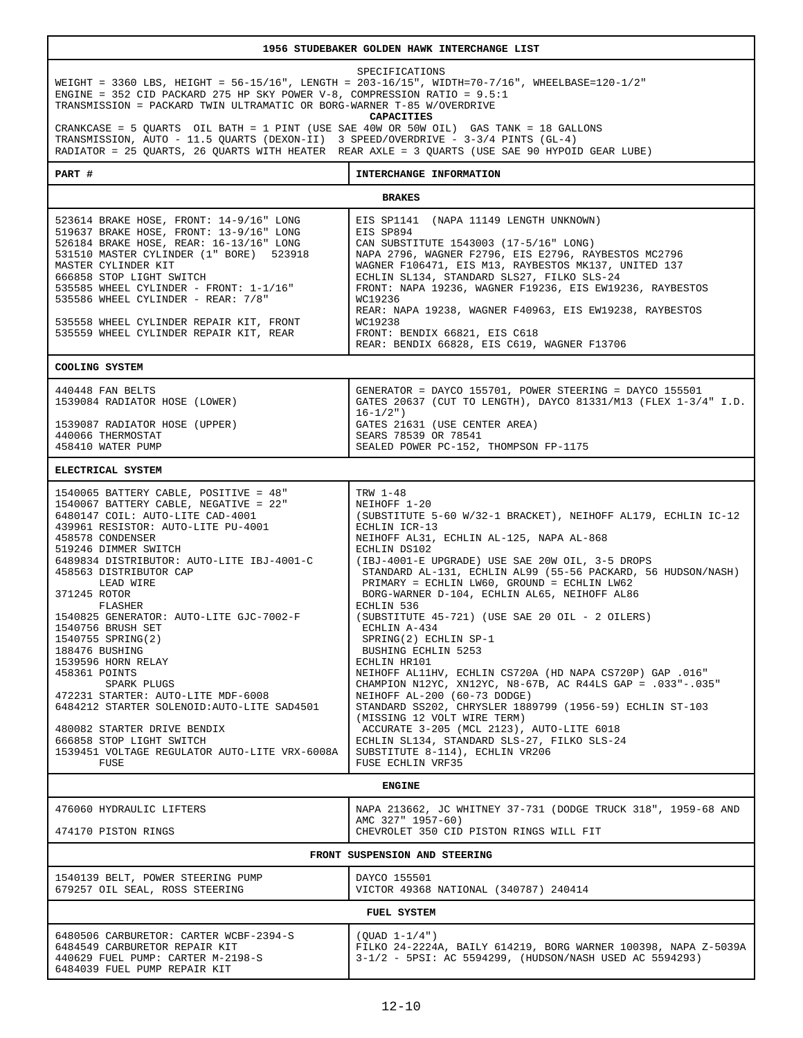| 1956 STUDEBAKER GOLDEN HAWK INTERCHANGE LIST                                                                                                                                                                                                                                                                                                                                                                                                                                                                                                                                                                                                                                              |                                                                                                                                                                                                                                                                                                                                                                                                                                                                                                                                                                                                                                                                                                                                                                                                                                                                                                                                                      |
|-------------------------------------------------------------------------------------------------------------------------------------------------------------------------------------------------------------------------------------------------------------------------------------------------------------------------------------------------------------------------------------------------------------------------------------------------------------------------------------------------------------------------------------------------------------------------------------------------------------------------------------------------------------------------------------------|------------------------------------------------------------------------------------------------------------------------------------------------------------------------------------------------------------------------------------------------------------------------------------------------------------------------------------------------------------------------------------------------------------------------------------------------------------------------------------------------------------------------------------------------------------------------------------------------------------------------------------------------------------------------------------------------------------------------------------------------------------------------------------------------------------------------------------------------------------------------------------------------------------------------------------------------------|
| SPECIFICATIONS<br>WEIGHT = 3360 LBS, HEIGHT = 56-15/16", LENGTH = 203-16/15", WIDTH=70-7/16", WHEELBASE=120-1/2"<br>ENGINE = 352 CID PACKARD 275 HP SKY POWER V-8, COMPRESSION RATIO = 9.5:1<br>TRANSMISSION = PACKARD TWIN ULTRAMATIC OR BORG-WARNER T-85 W/OVERDRIVE<br><b>CAPACITIES</b><br>CRANKCASE = 5 QUARTS OIL BATH = 1 PINT (USE SAE 40W OR 50W OIL) GAS TANK = 18 GALLONS                                                                                                                                                                                                                                                                                                      |                                                                                                                                                                                                                                                                                                                                                                                                                                                                                                                                                                                                                                                                                                                                                                                                                                                                                                                                                      |
| TRANSMISSION, AUTO - 11.5 QUARTS (DEXON-II) 3 SPEED/OVERDRIVE - 3-3/4 PINTS (GL-4)<br>RADIATOR = 25 QUARTS, 26 QUARTS WITH HEATER REAR AXLE = 3 QUARTS (USE SAE 90 HYPOID GEAR LUBE)                                                                                                                                                                                                                                                                                                                                                                                                                                                                                                      |                                                                                                                                                                                                                                                                                                                                                                                                                                                                                                                                                                                                                                                                                                                                                                                                                                                                                                                                                      |
| PART #                                                                                                                                                                                                                                                                                                                                                                                                                                                                                                                                                                                                                                                                                    | INTERCHANGE INFORMATION                                                                                                                                                                                                                                                                                                                                                                                                                                                                                                                                                                                                                                                                                                                                                                                                                                                                                                                              |
| <b>BRAKES</b>                                                                                                                                                                                                                                                                                                                                                                                                                                                                                                                                                                                                                                                                             |                                                                                                                                                                                                                                                                                                                                                                                                                                                                                                                                                                                                                                                                                                                                                                                                                                                                                                                                                      |
| 523614 BRAKE HOSE, FRONT: 14-9/16" LONG<br>519637 BRAKE HOSE, FRONT: 13-9/16" LONG<br>526184 BRAKE HOSE, REAR: 16-13/16" LONG<br>531510 MASTER CYLINDER (1" BORE) 523918<br>MASTER CYLINDER KIT<br>666858 STOP LIGHT SWITCH<br>535585 WHEEL CYLINDER - FRONT: 1-1/16"<br>535586 WHEEL CYLINDER - REAR: 7/8"<br>535558 WHEEL CYLINDER REPAIR KIT, FRONT<br>535559 WHEEL CYLINDER REPAIR KIT, REAR                                                                                                                                                                                                                                                                                          | EIS SP1141 (NAPA 11149 LENGTH UNKNOWN)<br>EIS SP894<br>CAN SUBSTITUTE 1543003 (17-5/16" LONG)<br>NAPA 2796, WAGNER F2796, EIS E2796, RAYBESTOS MC2796<br>WAGNER F106471, EIS M13, RAYBESTOS MK137, UNITED 137<br>ECHLIN SL134, STANDARD SLS27, FILKO SLS-24<br>FRONT: NAPA 19236, WAGNER F19236, EIS EW19236, RAYBESTOS<br>WC19236<br>REAR: NAPA 19238, WAGNER F40963, EIS EW19238, RAYBESTOS<br>WC19238<br>FRONT: BENDIX 66821, EIS C618<br>REAR: BENDIX 66828, EIS C619, WAGNER F13706                                                                                                                                                                                                                                                                                                                                                                                                                                                             |
| COOLING SYSTEM                                                                                                                                                                                                                                                                                                                                                                                                                                                                                                                                                                                                                                                                            |                                                                                                                                                                                                                                                                                                                                                                                                                                                                                                                                                                                                                                                                                                                                                                                                                                                                                                                                                      |
| 440448 FAN BELTS<br>1539084 RADIATOR HOSE (LOWER)<br>1539087 RADIATOR HOSE (UPPER)<br>440066 THERMOSTAT<br>458410 WATER PUMP                                                                                                                                                                                                                                                                                                                                                                                                                                                                                                                                                              | GENERATOR = DAYCO 155701, POWER STEERING = DAYCO 155501<br>GATES 20637 (CUT TO LENGTH), DAYCO 81331/M13 (FLEX 1-3/4" I.D.<br>$16 - 1/2")$<br>GATES 21631 (USE CENTER AREA)<br>SEARS 78539 OR 78541<br>SEALED POWER PC-152, THOMPSON FP-1175                                                                                                                                                                                                                                                                                                                                                                                                                                                                                                                                                                                                                                                                                                          |
| ELECTRICAL SYSTEM                                                                                                                                                                                                                                                                                                                                                                                                                                                                                                                                                                                                                                                                         |                                                                                                                                                                                                                                                                                                                                                                                                                                                                                                                                                                                                                                                                                                                                                                                                                                                                                                                                                      |
| 1540065 BATTERY CABLE, POSITIVE = 48"<br>1540067 BATTERY CABLE, NEGATIVE = 22"<br>6480147 COIL: AUTO-LITE CAD-4001<br>439961 RESISTOR: AUTO-LITE PU-4001<br>458578 CONDENSER<br>519246 DIMMER SWITCH<br>6489834 DISTRIBUTOR: AUTO-LITE IBJ-4001-C<br>458563 DISTRIBUTOR CAP<br>LEAD WIRE<br>371245 ROTOR<br>FLASHER<br>1540825 GENERATOR: AUTO-LITE GJC-7002-F<br>1540756 BRUSH SET<br>1540755 SPRING(2)<br>188476 BUSHING<br>1539596 HORN RELAY<br>458361 POINTS<br>SPARK PLUGS<br>472231 STARTER: AUTO-LITE MDF-6008<br>6484212 STARTER SOLENOID: AUTO-LITE SAD4501<br>480082 STARTER DRIVE BENDIX<br>666858 STOP LIGHT SWITCH<br>1539451 VOLTAGE REGULATOR AUTO-LITE VRX-6008A<br>FUSE | TRW 1-48<br>NEIHOFF 1-20<br>(SUBSTITUTE 5-60 W/32-1 BRACKET), NEIHOFF AL179, ECHLIN IC-12<br>ECHLIN ICR-13<br>NEIHOFF AL31, ECHLIN AL-125, NAPA AL-868<br>ECHLIN DS102<br>(IBJ-4001-E UPGRADE) USE SAE 20W OIL, 3-5 DROPS<br>STANDARD AL-131, ECHLIN AL99 (55-56 PACKARD, 56 HUDSON/NASH)<br>PRIMARY = ECHLIN LW60, GROUND = ECHLIN LW62<br>BORG-WARNER D-104, ECHLIN AL65, NEIHOFF AL86<br>ECHLIN 536<br>(SUBSTITUTE 45-721) (USE SAE 20 OIL - 2 OILERS)<br>ECHLIN A-434<br>SPRING(2) ECHLIN SP-1<br>BUSHING ECHLIN 5253<br>ECHLIN HR101<br>NEIHOFF AL11HV, ECHLIN CS720A (HD NAPA CS720P) GAP .016"<br>CHAMPION N12YC, XN12YC, N8-67B, AC R44LS GAP = . 033"-. 035"<br>NEIHOFF AL-200 (60-73 DODGE)<br>STANDARD SS202, CHRYSLER 1889799 (1956-59) ECHLIN ST-103<br>(MISSING 12 VOLT WIRE TERM)<br>ACCURATE 3-205 (MCL 2123), AUTO-LITE 6018<br>ECHLIN SL134, STANDARD SLS-27, FILKO SLS-24<br>SUBSTITUTE 8-114), ECHLIN VR206<br>FUSE ECHLIN VRF35 |
| <b>ENGINE</b>                                                                                                                                                                                                                                                                                                                                                                                                                                                                                                                                                                                                                                                                             |                                                                                                                                                                                                                                                                                                                                                                                                                                                                                                                                                                                                                                                                                                                                                                                                                                                                                                                                                      |
| 476060 HYDRAULIC LIFTERS                                                                                                                                                                                                                                                                                                                                                                                                                                                                                                                                                                                                                                                                  | NAPA 213662, JC WHITNEY 37-731 (DODGE TRUCK 318", 1959-68 AND<br>AMC 327" 1957-60)                                                                                                                                                                                                                                                                                                                                                                                                                                                                                                                                                                                                                                                                                                                                                                                                                                                                   |
| CHEVROLET 350 CID PISTON RINGS WILL FIT<br>474170 PISTON RINGS<br>FRONT SUSPENSION AND STEERING                                                                                                                                                                                                                                                                                                                                                                                                                                                                                                                                                                                           |                                                                                                                                                                                                                                                                                                                                                                                                                                                                                                                                                                                                                                                                                                                                                                                                                                                                                                                                                      |
| 1540139 BELT, POWER STEERING PUMP<br>679257 OIL SEAL, ROSS STEERING                                                                                                                                                                                                                                                                                                                                                                                                                                                                                                                                                                                                                       | DAYCO 155501<br>VICTOR 49368 NATIONAL (340787) 240414                                                                                                                                                                                                                                                                                                                                                                                                                                                                                                                                                                                                                                                                                                                                                                                                                                                                                                |
| FUEL SYSTEM                                                                                                                                                                                                                                                                                                                                                                                                                                                                                                                                                                                                                                                                               |                                                                                                                                                                                                                                                                                                                                                                                                                                                                                                                                                                                                                                                                                                                                                                                                                                                                                                                                                      |
| 6480506 CARBURETOR: CARTER WCBF-2394-S<br>6484549 CARBURETOR REPAIR KIT<br>440629 FUEL PUMP: CARTER M-2198-S<br>6484039 FUEL PUMP REPAIR KIT                                                                                                                                                                                                                                                                                                                                                                                                                                                                                                                                              | $(OUAD 1-1/4")$<br>FILKO 24-2224A, BAILY 614219, BORG WARNER 100398, NAPA Z-5039A<br>3-1/2 - 5PSI: AC 5594299, (HUDSON/NASH USED AC 5594293)                                                                                                                                                                                                                                                                                                                                                                                                                                                                                                                                                                                                                                                                                                                                                                                                         |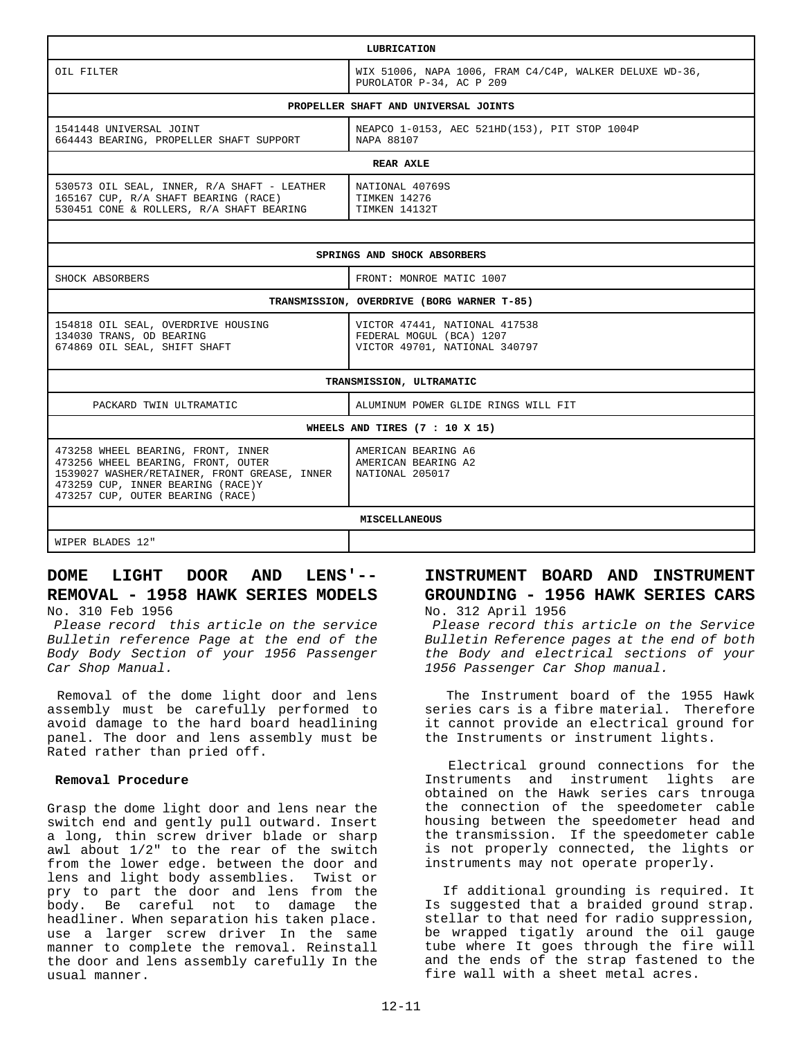| LUBRICATION                                                                                                                                                                                       |                                                                                            |
|---------------------------------------------------------------------------------------------------------------------------------------------------------------------------------------------------|--------------------------------------------------------------------------------------------|
| OIL FILTER                                                                                                                                                                                        | WIX 51006, NAPA 1006, FRAM C4/C4P, WALKER DELUXE WD-36,<br>PUROLATOR P-34, AC P 209        |
| PROPELLER SHAFT AND UNIVERSAL JOINTS                                                                                                                                                              |                                                                                            |
| 1541448 UNIVERSAL JOINT<br>664443 BEARING, PROPELLER SHAFT SUPPORT                                                                                                                                | NEAPCO 1-0153, AEC 521HD(153), PIT STOP 1004P<br>NAPA 88107                                |
| REAR AXLE                                                                                                                                                                                         |                                                                                            |
| 530573 OIL SEAL, INNER, R/A SHAFT - LEATHER<br>165167 CUP, R/A SHAFT BEARING (RACE)<br>530451 CONE & ROLLERS, R/A SHAFT BEARING                                                                   | NATIONAL 40769S<br>TIMKEN 14276<br>TIMKEN 14132T                                           |
|                                                                                                                                                                                                   |                                                                                            |
| SPRINGS AND SHOCK ABSORBERS                                                                                                                                                                       |                                                                                            |
| SHOCK ABSORBERS                                                                                                                                                                                   | FRONT: MONROE MATIC 1007                                                                   |
| TRANSMISSION, OVERDRIVE (BORG WARNER T-85)                                                                                                                                                        |                                                                                            |
| 154818 OIL SEAL, OVERDRIVE HOUSING<br>134030 TRANS, OD BEARING<br>674869 OIL SEAL, SHIFT SHAFT                                                                                                    | VICTOR 47441, NATIONAL 417538<br>FEDERAL MOGUL (BCA) 1207<br>VICTOR 49701, NATIONAL 340797 |
| TRANSMISSION, ULTRAMATIC                                                                                                                                                                          |                                                                                            |
| PACKARD TWIN ULTRAMATIC                                                                                                                                                                           | ALUMINUM POWER GLIDE RINGS WILL FIT                                                        |
| WHEELS AND TIRES (7 : 10 X 15)                                                                                                                                                                    |                                                                                            |
| 473258 WHEEL BEARING, FRONT, INNER<br>473256 WHEEL BEARING, FRONT, OUTER<br>1539027 WASHER/RETAINER, FRONT GREASE, INNER<br>473259 CUP, INNER BEARING (RACE)Y<br>473257 CUP, OUTER BEARING (RACE) | AMERICAN BEARING A6<br>AMERICAN BEARING A2<br>NATIONAL 205017                              |
| <b>MISCELLANEOUS</b>                                                                                                                                                                              |                                                                                            |
| WIPER BLADES 12"                                                                                                                                                                                  |                                                                                            |

# **DOME LIGHT DOOR AND LENS'-- REMOVAL - 1958 HAWK SERIES MODELS**

No. 310 Feb 1956

*Please record this article on the service Bulletin reference Page at the end of the Body Body Section of your 1956 Passenger Car Shop Manual.*

 Removal of the dome light door and lens assembly must be carefully performed to avoid damage to the hard board headlining panel. The door and lens assembly must be Rated rather than pried off.

#### **Removal Procedure**

Grasp the dome light door and lens near the switch end and gently pull outward. Insert a long, thin screw driver blade or sharp awl about 1/2" to the rear of the switch from the lower edge. between the door and lens and light body assemblies. Twist or pry to part the door and lens from the body. Be careful not to damage the headliner. When separation his taken place. use a larger screw driver In the same manner to complete the removal. Reinstall the door and lens assembly carefully In the usual manner.

## **INSTRUMENT BOARD AND INSTRUMENT GROUNDING - 1956 HAWK SERIES CARS** No. 312 April 1956

 *Please record this article on the Service Bulletin Reference pages at the end of both the Body and electrical sections of your 1956 Passenger Car Shop manual.*

 The Instrument board of the 1955 Hawk series cars is a fibre material. Therefore it cannot provide an electrical ground for the Instruments or instrument lights.

 Electrical ground connections for the Instruments and instrument lights are obtained on the Hawk series cars tnrouga the connection of the speedometer cable housing between the speedometer head and the transmission. If the speedometer cable is not properly connected, the lights or instruments may not operate properly.

 If additional grounding is required. It Is suggested that a braided ground strap. stellar to that need for radio suppression, be wrapped tigatly around the oil gauge tube where It goes through the fire will and the ends of the strap fastened to the fire wall with a sheet metal acres.